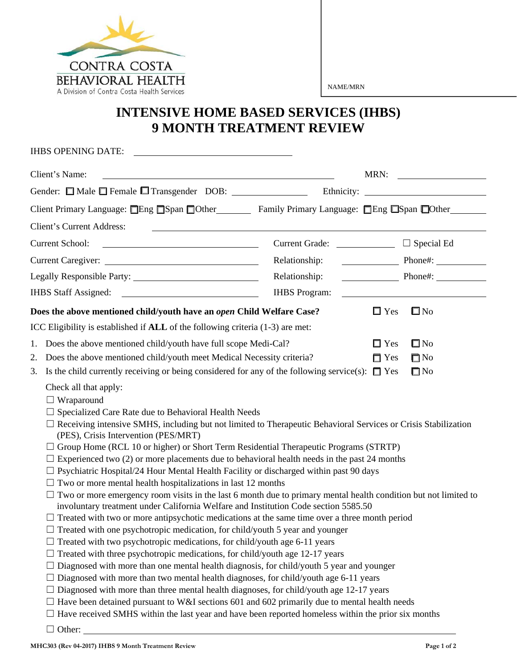

NAME/MRN

## **INTENSIVE HOME BASED SERVICES (IHBS) 9 MONTH TREATMENT REVIEW**

| <b>IHBS OPENING DATE:</b>                                                                                                                                                                                                                                                                                                                                                                                                                                                                                                                                                                                                                                                                                                                                                                                                                                                                                                                                                                                                                                                                                                                                                                                                                                                                                                                                                                                                                                                                                                                                                                                                                                                                                                            |                      |                                                           |              |
|--------------------------------------------------------------------------------------------------------------------------------------------------------------------------------------------------------------------------------------------------------------------------------------------------------------------------------------------------------------------------------------------------------------------------------------------------------------------------------------------------------------------------------------------------------------------------------------------------------------------------------------------------------------------------------------------------------------------------------------------------------------------------------------------------------------------------------------------------------------------------------------------------------------------------------------------------------------------------------------------------------------------------------------------------------------------------------------------------------------------------------------------------------------------------------------------------------------------------------------------------------------------------------------------------------------------------------------------------------------------------------------------------------------------------------------------------------------------------------------------------------------------------------------------------------------------------------------------------------------------------------------------------------------------------------------------------------------------------------------|----------------------|-----------------------------------------------------------|--------------|
| Client's Name:                                                                                                                                                                                                                                                                                                                                                                                                                                                                                                                                                                                                                                                                                                                                                                                                                                                                                                                                                                                                                                                                                                                                                                                                                                                                                                                                                                                                                                                                                                                                                                                                                                                                                                                       |                      | MRN:                                                      |              |
|                                                                                                                                                                                                                                                                                                                                                                                                                                                                                                                                                                                                                                                                                                                                                                                                                                                                                                                                                                                                                                                                                                                                                                                                                                                                                                                                                                                                                                                                                                                                                                                                                                                                                                                                      |                      |                                                           |              |
| Client Primary Language: <b>Oner</b> Span Other Family Primary Language: <b>Oner</b> Span © Other                                                                                                                                                                                                                                                                                                                                                                                                                                                                                                                                                                                                                                                                                                                                                                                                                                                                                                                                                                                                                                                                                                                                                                                                                                                                                                                                                                                                                                                                                                                                                                                                                                    |                      |                                                           |              |
| <b>Client's Current Address:</b>                                                                                                                                                                                                                                                                                                                                                                                                                                                                                                                                                                                                                                                                                                                                                                                                                                                                                                                                                                                                                                                                                                                                                                                                                                                                                                                                                                                                                                                                                                                                                                                                                                                                                                     |                      |                                                           |              |
| <b>Current School:</b><br><u> 1989 - Johann Barbara, martin amerikan per</u><br>Current Grade:                                                                                                                                                                                                                                                                                                                                                                                                                                                                                                                                                                                                                                                                                                                                                                                                                                                                                                                                                                                                                                                                                                                                                                                                                                                                                                                                                                                                                                                                                                                                                                                                                                       |                      | $\Box$ Special Ed                                         |              |
| Relationship:                                                                                                                                                                                                                                                                                                                                                                                                                                                                                                                                                                                                                                                                                                                                                                                                                                                                                                                                                                                                                                                                                                                                                                                                                                                                                                                                                                                                                                                                                                                                                                                                                                                                                                                        |                      | $Phone\#$ :                                               |              |
| Relationship:                                                                                                                                                                                                                                                                                                                                                                                                                                                                                                                                                                                                                                                                                                                                                                                                                                                                                                                                                                                                                                                                                                                                                                                                                                                                                                                                                                                                                                                                                                                                                                                                                                                                                                                        |                      | $\overline{\phantom{a}}$ Phone#: $\overline{\phantom{a}}$ |              |
| IHBS Staff Assigned:                                                                                                                                                                                                                                                                                                                                                                                                                                                                                                                                                                                                                                                                                                                                                                                                                                                                                                                                                                                                                                                                                                                                                                                                                                                                                                                                                                                                                                                                                                                                                                                                                                                                                                                 | <b>IHBS</b> Program: |                                                           |              |
| Does the above mentioned child/youth have an open Child Welfare Case?                                                                                                                                                                                                                                                                                                                                                                                                                                                                                                                                                                                                                                                                                                                                                                                                                                                                                                                                                                                                                                                                                                                                                                                                                                                                                                                                                                                                                                                                                                                                                                                                                                                                |                      | $\Box$ Yes                                                | $\square$ No |
| ICC Eligibility is established if ALL of the following criteria (1-3) are met:                                                                                                                                                                                                                                                                                                                                                                                                                                                                                                                                                                                                                                                                                                                                                                                                                                                                                                                                                                                                                                                                                                                                                                                                                                                                                                                                                                                                                                                                                                                                                                                                                                                       |                      |                                                           |              |
| Does the above mentioned child/youth have full scope Medi-Cal?<br>1.                                                                                                                                                                                                                                                                                                                                                                                                                                                                                                                                                                                                                                                                                                                                                                                                                                                                                                                                                                                                                                                                                                                                                                                                                                                                                                                                                                                                                                                                                                                                                                                                                                                                 |                      | $\Box$ Yes                                                | $\square$ No |
| Does the above mentioned child/youth meet Medical Necessity criteria?<br>2.                                                                                                                                                                                                                                                                                                                                                                                                                                                                                                                                                                                                                                                                                                                                                                                                                                                                                                                                                                                                                                                                                                                                                                                                                                                                                                                                                                                                                                                                                                                                                                                                                                                          |                      | $\Box$ Yes                                                | $\Box$ No    |
| Is the child currently receiving or being considered for any of the following service(s): $\Box$ Yes<br>$\square$ No<br>3.                                                                                                                                                                                                                                                                                                                                                                                                                                                                                                                                                                                                                                                                                                                                                                                                                                                                                                                                                                                                                                                                                                                                                                                                                                                                                                                                                                                                                                                                                                                                                                                                           |                      |                                                           |              |
| Check all that apply:<br>$\Box$ Wraparound<br>$\Box$ Specialized Care Rate due to Behavioral Health Needs<br>$\Box$ Receiving intensive SMHS, including but not limited to Therapeutic Behavioral Services or Crisis Stabilization<br>(PES), Crisis Intervention (PES/MRT)<br>Group Home (RCL 10 or higher) or Short Term Residential Therapeutic Programs (STRTP)<br>Experienced two (2) or more placements due to behavioral health needs in the past 24 months<br>$\Box$ Psychiatric Hospital/24 Hour Mental Health Facility or discharged within past 90 days<br>$\Box$ Two or more mental health hospitalizations in last 12 months<br>Two or more emergency room visits in the last 6 month due to primary mental health condition but not limited to<br>$\Box$<br>involuntary treatment under California Welfare and Institution Code section 5585.50<br>$\Box$ Treated with two or more antipsychotic medications at the same time over a three month period<br>Treated with one psychotropic medication, for child/youth 5 year and younger<br>$\Box$ Treated with two psychotropic medications, for child/youth age 6-11 years<br>$\Box$ Treated with three psychotropic medications, for child/youth age 12-17 years<br>Diagnosed with more than one mental health diagnosis, for child/youth 5 year and younger<br>⊔<br>Diagnosed with more than two mental health diagnoses, for child/youth age 6-11 years<br>Diagnosed with more than three mental health diagnoses, for child/youth age 12-17 years<br>Have been detained pursuant to W&I sections 601 and 602 primarily due to mental health needs<br>Have received SMHS within the last year and have been reported homeless within the prior six months<br>Other: |                      |                                                           |              |